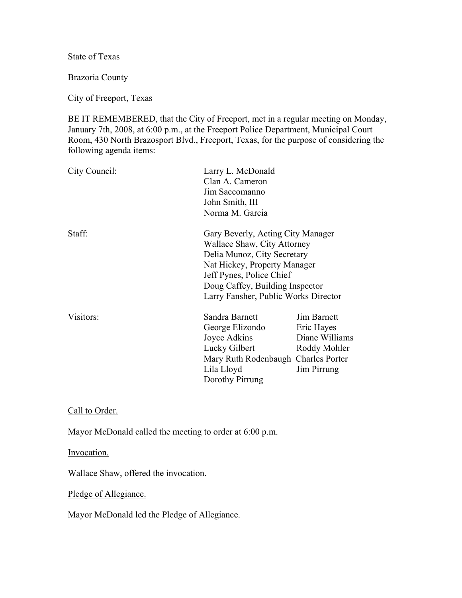State of Texas

Brazoria County

City of Freeport, Texas

BE IT REMEMBERED, that the City of Freeport, met in a regular meeting on Monday, January 7th, 2008, at 6:00 p.m., at the Freeport Police Department, Municipal Court Room, 430 North Brazosport Blvd., Freeport, Texas, for the purpose of considering the following agenda items:

| City Council: | Larry L. McDonald<br>Clan A. Cameron<br>Jim Saccomanno<br>John Smith, III<br>Norma M. Garcia                                                                                                                                           |                                                                            |
|---------------|----------------------------------------------------------------------------------------------------------------------------------------------------------------------------------------------------------------------------------------|----------------------------------------------------------------------------|
| Staff:        | Gary Beverly, Acting City Manager<br>Wallace Shaw, City Attorney<br>Delia Munoz, City Secretary<br>Nat Hickey, Property Manager<br>Jeff Pynes, Police Chief<br>Doug Caffey, Building Inspector<br>Larry Fansher, Public Works Director |                                                                            |
| Visitors:     | Sandra Barnett<br>George Elizondo<br>Joyce Adkins<br>Lucky Gilbert<br>Mary Ruth Rodenbaugh Charles Porter<br>Lila Lloyd<br>Dorothy Pirrung                                                                                             | Jim Barnett<br>Eric Hayes<br>Diane Williams<br>Roddy Mohler<br>Jim Pirrung |

Call to Order.

Mayor McDonald called the meeting to order at 6:00 p.m.

Invocation.

Wallace Shaw, offered the invocation.

Pledge of Allegiance.

Mayor McDonald led the Pledge of Allegiance.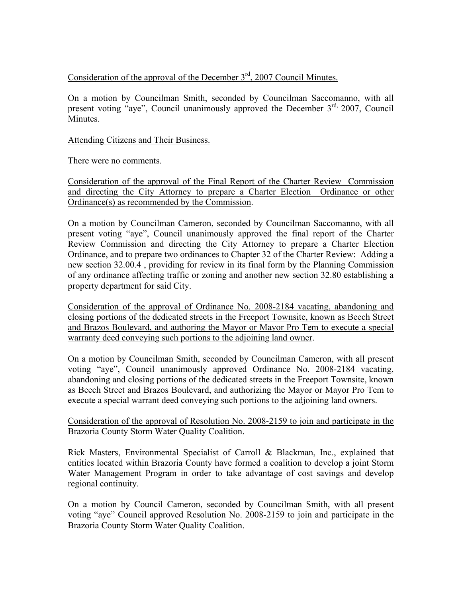# Consideration of the approval of the December  $3<sup>rd</sup>$ , 2007 Council Minutes.

On a motion by Councilman Smith, seconded by Councilman Saccomanno, with all present voting "aye", Council unanimously approved the December 3<sup>rd,</sup> 2007, Council Minutes.

### Attending Citizens and Their Business.

There were no comments.

Consideration of the approval of the Final Report of the Charter Review Commission and directing the City Attorney to prepare a Charter Election Ordinance or other Ordinance(s) as recommended by the Commission.

On a motion by Councilman Cameron, seconded by Councilman Saccomanno, with all present voting "aye", Council unanimously approved the final report of the Charter Review Commission and directing the City Attorney to prepare a Charter Election Ordinance, and to prepare two ordinances to Chapter 32 of the Charter Review: Adding a new section 32.00.4 , providing for review in its final form by the Planning Commission of any ordinance affecting traffic or zoning and another new section 32.80 establishing a property department for said City.

Consideration of the approval of Ordinance No. 2008-2184 vacating, abandoning and closing portions of the dedicated streets in the Freeport Townsite, known as Beech Street and Brazos Boulevard, and authoring the Mayor or Mayor Pro Tem to execute a special warranty deed conveying such portions to the adjoining land owner.

On a motion by Councilman Smith, seconded by Councilman Cameron, with all present voting "aye", Council unanimously approved Ordinance No. 2008-2184 vacating, abandoning and closing portions of the dedicated streets in the Freeport Townsite, known as Beech Street and Brazos Boulevard, and authorizing the Mayor or Mayor Pro Tem to execute a special warrant deed conveying such portions to the adjoining land owners.

### Consideration of the approval of Resolution No. 2008-2159 to join and participate in the Brazoria County Storm Water Quality Coalition.

Rick Masters, Environmental Specialist of Carroll & Blackman, Inc., explained that entities located within Brazoria County have formed a coalition to develop a joint Storm Water Management Program in order to take advantage of cost savings and develop regional continuity.

On a motion by Council Cameron, seconded by Councilman Smith, with all present voting "aye" Council approved Resolution No. 2008-2159 to join and participate in the Brazoria County Storm Water Quality Coalition.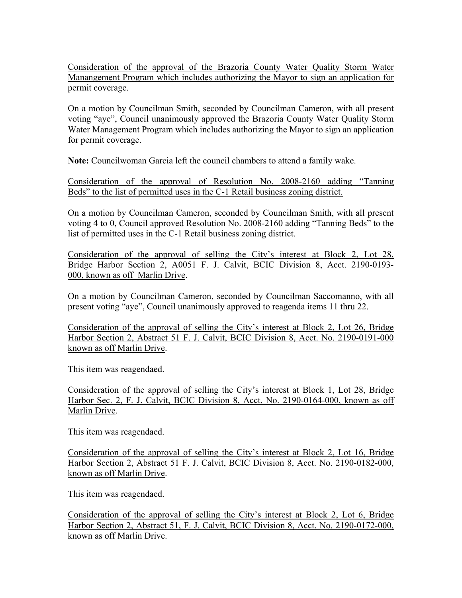Consideration of the approval of the Brazoria County Water Quality Storm Water Manangement Program which includes authorizing the Mayor to sign an application for permit coverage.

On a motion by Councilman Smith, seconded by Councilman Cameron, with all present voting "aye", Council unanimously approved the Brazoria County Water Quality Storm Water Management Program which includes authorizing the Mayor to sign an application for permit coverage.

**Note:** Councilwoman Garcia left the council chambers to attend a family wake.

Consideration of the approval of Resolution No. 2008-2160 adding "Tanning Beds" to the list of permitted uses in the C-1 Retail business zoning district.

On a motion by Councilman Cameron, seconded by Councilman Smith, with all present voting 4 to 0, Council approved Resolution No. 2008-2160 adding "Tanning Beds" to the list of permitted uses in the C-1 Retail business zoning district.

Consideration of the approval of selling the City's interest at Block 2, Lot 28, Bridge Harbor Section 2, A0051 F. J. Calvit, BCIC Division 8, Acct. 2190-0193- 000, known as off Marlin Drive.

On a motion by Councilman Cameron, seconded by Councilman Saccomanno, with all present voting "aye", Council unanimously approved to reagenda items 11 thru 22.

Consideration of the approval of selling the City's interest at Block 2, Lot 26, Bridge Harbor Section 2, Abstract 51 F. J. Calvit, BCIC Division 8, Acct. No. 2190-0191-000 known as off Marlin Drive.

This item was reagendaed.

Consideration of the approval of selling the City's interest at Block 1, Lot 28, Bridge Harbor Sec. 2, F. J. Calvit, BCIC Division 8, Acct. No. 2190-0164-000, known as off Marlin Drive.

This item was reagendaed.

Consideration of the approval of selling the City's interest at Block 2, Lot 16, Bridge Harbor Section 2, Abstract 51 F. J. Calvit, BCIC Division 8, Acct. No. 2190-0182-000, known as off Marlin Drive.

This item was reagendaed.

Consideration of the approval of selling the City's interest at Block 2, Lot 6, Bridge Harbor Section 2, Abstract 51, F. J. Calvit, BCIC Division 8, Acct. No. 2190-0172-000, known as off Marlin Drive.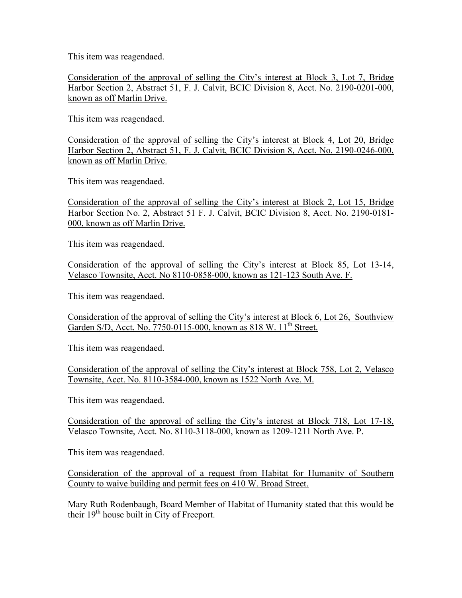This item was reagendaed.

Consideration of the approval of selling the City's interest at Block 3, Lot 7, Bridge Harbor Section 2, Abstract 51, F. J. Calvit, BCIC Division 8, Acct. No. 2190-0201-000, known as off Marlin Drive.

This item was reagendaed.

Consideration of the approval of selling the City's interest at Block 4, Lot 20, Bridge Harbor Section 2, Abstract 51, F. J. Calvit, BCIC Division 8, Acct. No. 2190-0246-000, known as off Marlin Drive.

This item was reagendaed.

Consideration of the approval of selling the City's interest at Block 2, Lot 15, Bridge Harbor Section No. 2, Abstract 51 F. J. Calvit, BCIC Division 8, Acct. No. 2190-0181- 000, known as off Marlin Drive.

This item was reagendaed.

Consideration of the approval of selling the City's interest at Block 85, Lot 13-14, Velasco Townsite, Acct. No 8110-0858-000, known as 121-123 South Ave. F.

This item was reagendaed.

Consideration of the approval of selling the City's interest at Block 6, Lot 26, Southview Garden S/D, Acct. No. 7750-0115-000, known as 818 W, 11<sup>th</sup> Street.

This item was reagendaed.

Consideration of the approval of selling the City's interest at Block 758, Lot 2, Velasco Townsite, Acct. No. 8110-3584-000, known as 1522 North Ave. M.

This item was reagendaed.

Consideration of the approval of selling the City's interest at Block 718, Lot 17-18, Velasco Townsite, Acct. No. 8110-3118-000, known as 1209-1211 North Ave. P.

This item was reagendaed.

Consideration of the approval of a request from Habitat for Humanity of Southern County to waive building and permit fees on 410 W. Broad Street.

Mary Ruth Rodenbaugh, Board Member of Habitat of Humanity stated that this would be their  $19<sup>th</sup>$  house built in City of Freeport.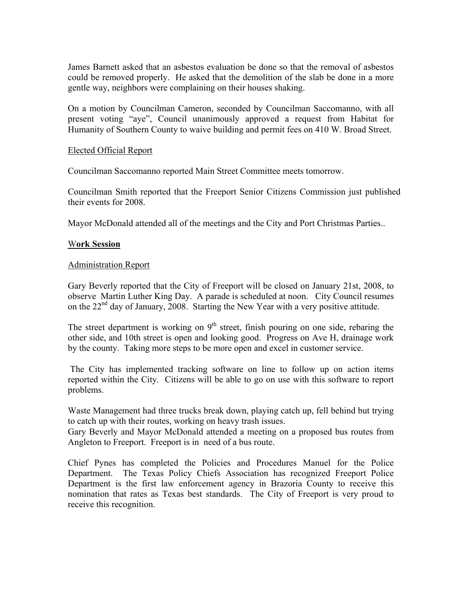James Barnett asked that an asbestos evaluation be done so that the removal of asbestos could be removed properly. He asked that the demolition of the slab be done in a more gentle way, neighbors were complaining on their houses shaking.

On a motion by Councilman Cameron, seconded by Councilman Saccomanno, with all present voting "aye", Council unanimously approved a request from Habitat for Humanity of Southern County to waive building and permit fees on 410 W. Broad Street.

#### Elected Official Report

Councilman Saccomanno reported Main Street Committee meets tomorrow.

Councilman Smith reported that the Freeport Senior Citizens Commission just published their events for 2008.

Mayor McDonald attended all of the meetings and the City and Port Christmas Parties..

#### W**ork Session**

#### Administration Report

Gary Beverly reported that the City of Freeport will be closed on January 21st, 2008, to observe Martin Luther King Day. A parade is scheduled at noon. City Council resumes on the 22<sup>nd</sup> day of January, 2008. Starting the New Year with a very positive attitude.

The street department is working on  $9<sup>th</sup>$  street, finish pouring on one side, rebaring the other side, and 10th street is open and looking good. Progress on Ave H, drainage work by the county. Taking more steps to be more open and excel in customer service.

 The City has implemented tracking software on line to follow up on action items reported within the City. Citizens will be able to go on use with this software to report problems.

Waste Management had three trucks break down, playing catch up, fell behind but trying to catch up with their routes, working on heavy trash issues.

Gary Beverly and Mayor McDonald attended a meeting on a proposed bus routes from Angleton to Freeport. Freeport is in need of a bus route.

Chief Pynes has completed the Policies and Procedures Manuel for the Police Department. The Texas Policy Chiefs Association has recognized Freeport Police Department is the first law enforcement agency in Brazoria County to receive this nomination that rates as Texas best standards. The City of Freeport is very proud to receive this recognition.